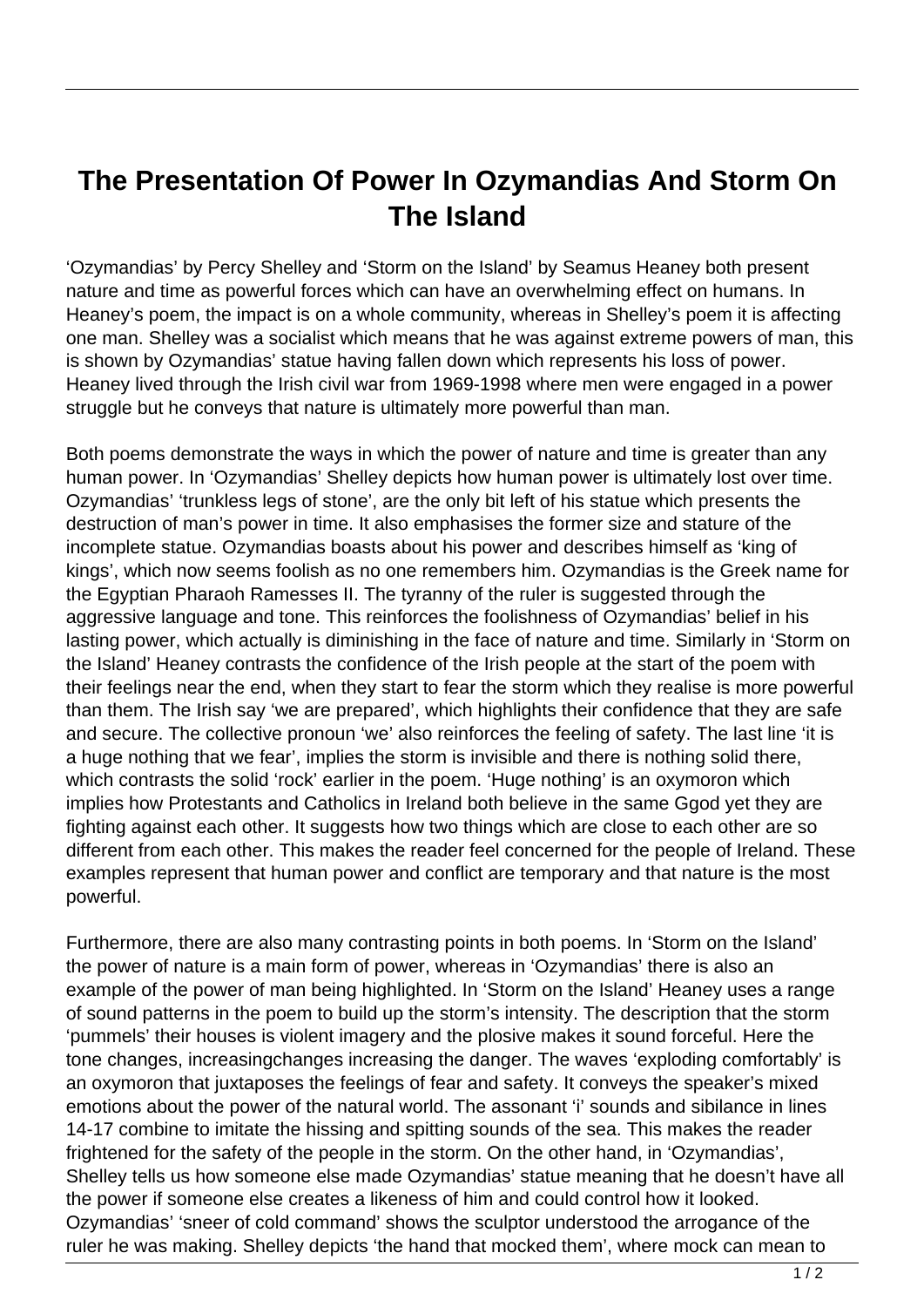## **The Presentation Of Power In Ozymandias And Storm On The Island**

'Ozymandias' by Percy Shelley and 'Storm on the Island' by Seamus Heaney both present nature and time as powerful forces which can have an overwhelming effect on humans. In Heaney's poem, the impact is on a whole community, whereas in Shelley's poem it is affecting one man. Shelley was a socialist which means that he was against extreme powers of man, this is shown by Ozymandias' statue having fallen down which represents his loss of power. Heaney lived through the Irish civil war from 1969-1998 where men were engaged in a power struggle but he conveys that nature is ultimately more powerful than man.

Both poems demonstrate the ways in which the power of nature and time is greater than any human power. In 'Ozymandias' Shelley depicts how human power is ultimately lost over time. Ozymandias' 'trunkless legs of stone', are the only bit left of his statue which presents the destruction of man's power in time. It also emphasises the former size and stature of the incomplete statue. Ozymandias boasts about his power and describes himself as 'king of kings', which now seems foolish as no one remembers him. Ozymandias is the Greek name for the Egyptian Pharaoh Ramesses II. The tyranny of the ruler is suggested through the aggressive language and tone. This reinforces the foolishness of Ozymandias' belief in his lasting power, which actually is diminishing in the face of nature and time. Similarly in 'Storm on the Island' Heaney contrasts the confidence of the Irish people at the start of the poem with their feelings near the end, when they start to fear the storm which they realise is more powerful than them. The Irish say 'we are prepared', which highlights their confidence that they are safe and secure. The collective pronoun 'we' also reinforces the feeling of safety. The last line 'it is a huge nothing that we fear', implies the storm is invisible and there is nothing solid there, which contrasts the solid 'rock' earlier in the poem. 'Huge nothing' is an oxymoron which implies how Protestants and Catholics in Ireland both believe in the same Ggod yet they are fighting against each other. It suggests how two things which are close to each other are so different from each other. This makes the reader feel concerned for the people of Ireland. These examples represent that human power and conflict are temporary and that nature is the most powerful.

Furthermore, there are also many contrasting points in both poems. In 'Storm on the Island' the power of nature is a main form of power, whereas in 'Ozymandias' there is also an example of the power of man being highlighted. In 'Storm on the Island' Heaney uses a range of sound patterns in the poem to build up the storm's intensity. The description that the storm 'pummels' their houses is violent imagery and the plosive makes it sound forceful. Here the tone changes, increasingchanges increasing the danger. The waves 'exploding comfortably' is an oxymoron that juxtaposes the feelings of fear and safety. It conveys the speaker's mixed emotions about the power of the natural world. The assonant 'i' sounds and sibilance in lines 14-17 combine to imitate the hissing and spitting sounds of the sea. This makes the reader frightened for the safety of the people in the storm. On the other hand, in 'Ozymandias', Shelley tells us how someone else made Ozymandias' statue meaning that he doesn't have all the power if someone else creates a likeness of him and could control how it looked. Ozymandias' 'sneer of cold command' shows the sculptor understood the arrogance of the ruler he was making. Shelley depicts 'the hand that mocked them', where mock can mean to